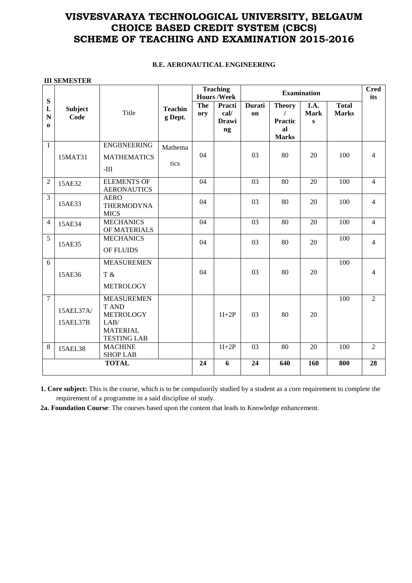## **VISVESVARAYA TECHNOLOGICAL UNIVERSITY, BELGAUM CHOICE BASED CREDIT SYSTEM (CBCS) SCHEME OF TEACHING AND EXAMINATION 2015-2016**

## **B.E. AERONAUTICAL ENGINEERING**

| <b>III SEMESTER</b>                  |                        |                                                                                                        |                           |                                      |                                      |              |                                                       |                                     |                              |                |
|--------------------------------------|------------------------|--------------------------------------------------------------------------------------------------------|---------------------------|--------------------------------------|--------------------------------------|--------------|-------------------------------------------------------|-------------------------------------|------------------------------|----------------|
|                                      |                        | Title                                                                                                  | <b>Teachin</b><br>g Dept. | <b>Teaching</b><br><b>Hours/Week</b> |                                      |              | <b>Cred</b><br>its                                    |                                     |                              |                |
| ${\bf S}$<br>l.<br>N<br>$\mathbf{0}$ | <b>Subject</b><br>Code |                                                                                                        |                           | The<br>ory                           | Practi<br>cal/<br><b>Drawi</b><br>ng | Durati<br>on | <b>Theory</b><br><b>Practic</b><br>al<br><b>Marks</b> | I.A.<br><b>Mark</b><br>$\mathbf{s}$ | <b>Total</b><br><b>Marks</b> |                |
| $\mathbf{1}$                         | 15MAT31                | <b>ENGIINEERING</b><br><b>MATHEMATICS</b><br>$-III$                                                    | Mathema<br>tics           | 04                                   |                                      | 03           | 80                                                    | 20                                  | 100                          | 4              |
| $\overline{2}$                       | 15AE32                 | <b>ELEMENTS OF</b><br><b>AERONAUTICS</b>                                                               |                           | 04                                   |                                      | 03           | 80                                                    | 20                                  | 100                          | $\overline{4}$ |
| $\overline{3}$                       | 15AE33                 | <b>AERO</b><br><b>THERMODYNA</b><br><b>MICS</b>                                                        |                           | 04                                   |                                      | 03           | 80                                                    | 20                                  | 100                          | $\overline{4}$ |
| $\overline{4}$                       | 15AE34                 | <b>MECHANICS</b><br>OF MATERIALS                                                                       |                           | 04                                   |                                      | 03           | 80                                                    | 20                                  | 100                          | $\overline{4}$ |
| 5                                    | 15AE35                 | <b>MECHANICS</b><br>OF FLUIDS                                                                          |                           | 04                                   |                                      | 03           | 80                                                    | 20                                  | 100                          | 4              |
| 6                                    | 15AE36                 | <b>MEASUREMEN</b><br>T &<br><b>METROLOGY</b>                                                           |                           | 04                                   |                                      | 03           | 80                                                    | 20                                  | 100                          | 4              |
| $\overline{7}$                       | 15AEL37A/<br>15AEL37B  | <b>MEASUREMEN</b><br><b>T AND</b><br><b>METROLOGY</b><br>LAB/<br><b>MATERIAL</b><br><b>TESTING LAB</b> |                           |                                      | $1I+2P$                              | 03           | 80                                                    | 20                                  | 100                          | $\overline{2}$ |
| 8                                    | 15AEL38                | <b>MACHINE</b><br><b>SHOP LAB</b>                                                                      |                           |                                      | $1I+2P$                              | 03           | 80                                                    | 20                                  | 100                          | $\overline{2}$ |
| <b>TOTAL</b>                         |                        |                                                                                                        | 24                        | 6                                    | 24                                   | 640          | 160                                                   | 800                                 | 28                           |                |

**1. Core subject:** This is the course, which is to be compulsorily studied by a student as a core requirement to complete the requirement of a programme in a said discipline of study.

**2a. Foundation Course**: The courses based upon the content that leads to Knowledge enhancement.